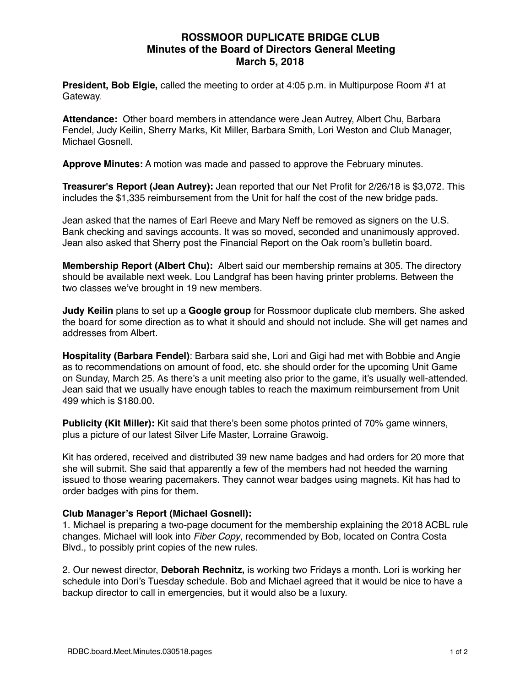## **ROSSMOOR DUPLICATE BRIDGE CLUB Minutes of the Board of Directors General Meeting March 5, 2018**

**President, Bob Elgie,** called the meeting to order at 4:05 p.m. in Multipurpose Room #1 at Gateway.

**Attendance:** Other board members in attendance were Jean Autrey, Albert Chu, Barbara Fendel, Judy Keilin, Sherry Marks, Kit Miller, Barbara Smith, Lori Weston and Club Manager, Michael Gosnell.

**Approve Minutes:** A motion was made and passed to approve the February minutes.

**Treasurer's Report (Jean Autrey):** Jean reported that our Net Profit for 2/26/18 is \$3,072. This includes the \$1,335 reimbursement from the Unit for half the cost of the new bridge pads.

Jean asked that the names of Earl Reeve and Mary Neff be removed as signers on the U.S. Bank checking and savings accounts. It was so moved, seconded and unanimously approved. Jean also asked that Sherry post the Financial Report on the Oak room's bulletin board.

**Membership Report (Albert Chu):** Albert said our membership remains at 305. The directory should be available next week. Lou Landgraf has been having printer problems. Between the two classes we've brought in 19 new members.

**Judy Keilin** plans to set up a **Google group** for Rossmoor duplicate club members. She asked the board for some direction as to what it should and should not include. She will get names and addresses from Albert.

**Hospitality (Barbara Fendel)**: Barbara said she, Lori and Gigi had met with Bobbie and Angie as to recommendations on amount of food, etc. she should order for the upcoming Unit Game on Sunday, March 25. As there's a unit meeting also prior to the game, it's usually well-attended. Jean said that we usually have enough tables to reach the maximum reimbursement from Unit 499 which is \$180.00.

**Publicity (Kit Miller):** Kit said that there's been some photos printed of 70% game winners, plus a picture of our latest Silver Life Master, Lorraine Grawoig.

Kit has ordered, received and distributed 39 new name badges and had orders for 20 more that she will submit. She said that apparently a few of the members had not heeded the warning issued to those wearing pacemakers. They cannot wear badges using magnets. Kit has had to order badges with pins for them.

### **Club Manager's Report (Michael Gosnell):**

1. Michael is preparing a two-page document for the membership explaining the 2018 ACBL rule changes. Michael will look into *Fiber Copy*, recommended by Bob, located on Contra Costa Blvd., to possibly print copies of the new rules.

2. Our newest director, **Deborah Rechnitz,** is working two Fridays a month. Lori is working her schedule into Dori's Tuesday schedule. Bob and Michael agreed that it would be nice to have a backup director to call in emergencies, but it would also be a luxury.